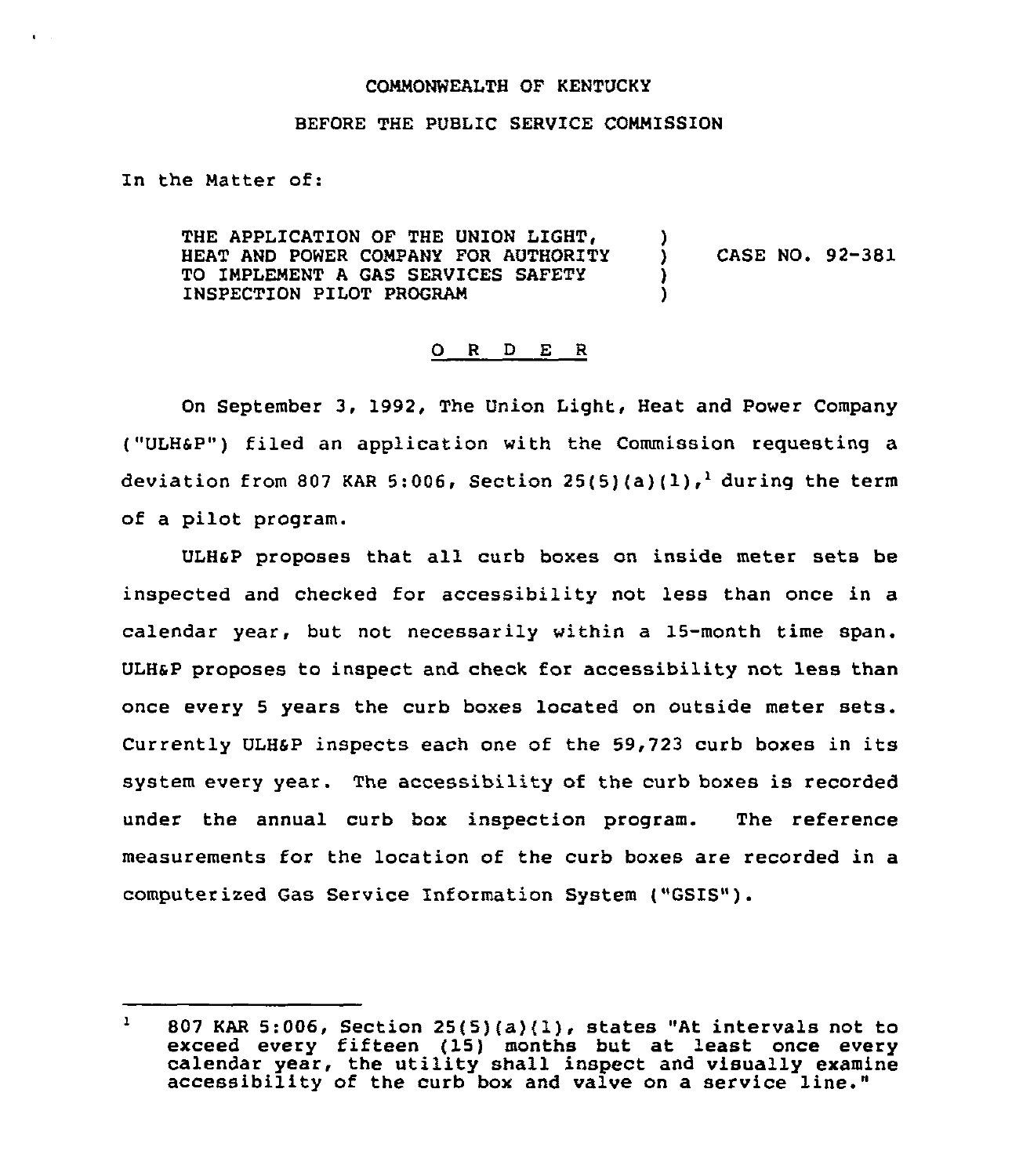## COMMONWEALTH OF KENTUCKY

## BEFORE THE PUBLIC SERVICE COMMISSION

In the Matter of:

THE APPLICATION OF THE UNION LIGHT, HEAT AND POWER COMPANY FOR AUTHORITY TO IMPLEMENT A GAS SERVICES SAFETY INSPECTION PILOT PROGRAM ) ) CASE NO. 92-381 ) )

## 0 <sup>R</sup> <sup>D</sup> E <sup>R</sup>

On September 3, 1992, The Union Light, Heat and Power Company ("ULH6P") filed an application with the Commission requesting a deviation from 807 KAR 5:006, Section  $25(5)(a)(1)$ ,<sup>1</sup> during the term of a pilot program.

ULHSP proposes that all curb boxes on inside meter sets be inspected and checked for accessibility not less than once in a calendar year, but not necessarily within a 15-month time span. ULHsP proposes to inspect and check for accessibility not less than once every <sup>5</sup> years the curb boxes located on outside meter sets. Currently ULHsP inspects each one of the 59,723 curb boxes in its system every year. The accessibility of the curb boxes is recorded under the annual curb box inspection program. The reference measurements for the location of the curb boxes are recorded in a computerized Gas Service Information System ("GSIS").

<sup>807</sup> KAR 5:006, Section 25(5)(a}{1),states "At intervals not to exceed every fifteen (15} months but at least once every calendar year, the utility shall inspect and visually examine accessibility of the curb box and valve on <sup>a</sup> service line."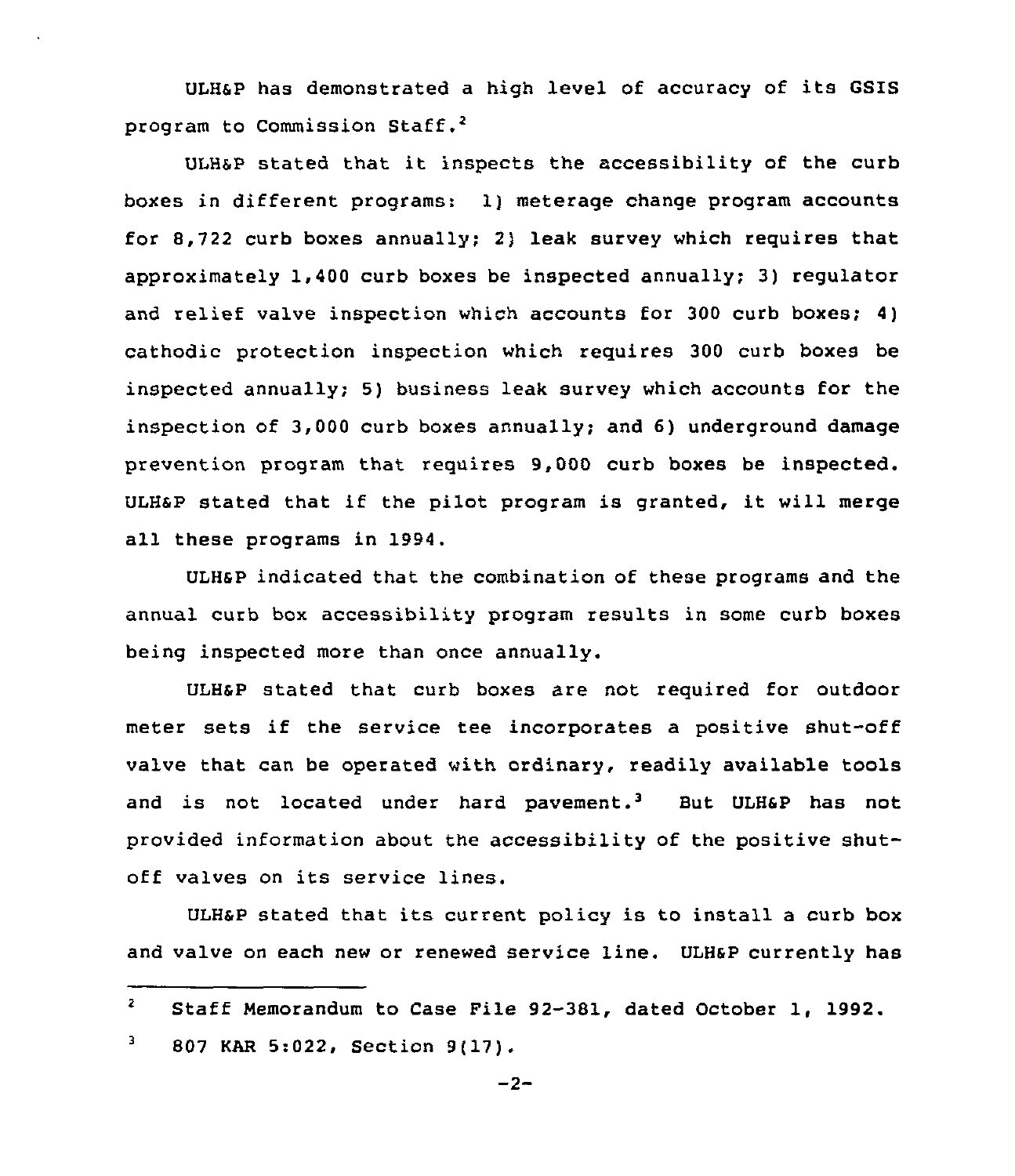ULHSP has demonstrated a high level of accuracy of its GSIS program to Commission Staff.<sup>2</sup>

ULH&P stated that it inspects the accessibility of the curb boxes in different programs: 1) meterage change program accounts for 8,722 curb boxes annually; 2) leak survey which requires that approximately 1,400 curb boxes be inspected annually; 3) regulator and relief valve inspection which accounts for 300 curb boxes; 4) cathodic protection inspection which requires 300 curb boxes be inspected annually; 5) business leak survey which accounts for the inspection of 3,000 curb boxes annually; and 6) underground damage prevention program that requires 9,000 curb boxes be inspected. ULHaP stated that if the pilot program is granted, it will merge all these programs in 1994.

ULHsP indicated that the combination of these programs and the annual curb box accessibility program results in some curb boxes being inspected more than once annually.

ULHSP stated that curb boxes are not required for outdoor meter sets if the service tee incorporates <sup>a</sup> positive shut-off valve that can be operated with ordinary, readily available tools and is not located under hard pavement.<sup>3</sup> But ULH&P has not provided information about the accessibility of the positive shutoff valves on its service lines.

ULHSP stated that its current policy is to install <sup>a</sup> curb box and valve on each new or renewed service line. ULHaP currently has

 $\mathbf{z}$ Staff Memorandum to Case File 92-381, dated October 1, 1992. 3 807 KAR 5:022, Section 9(17).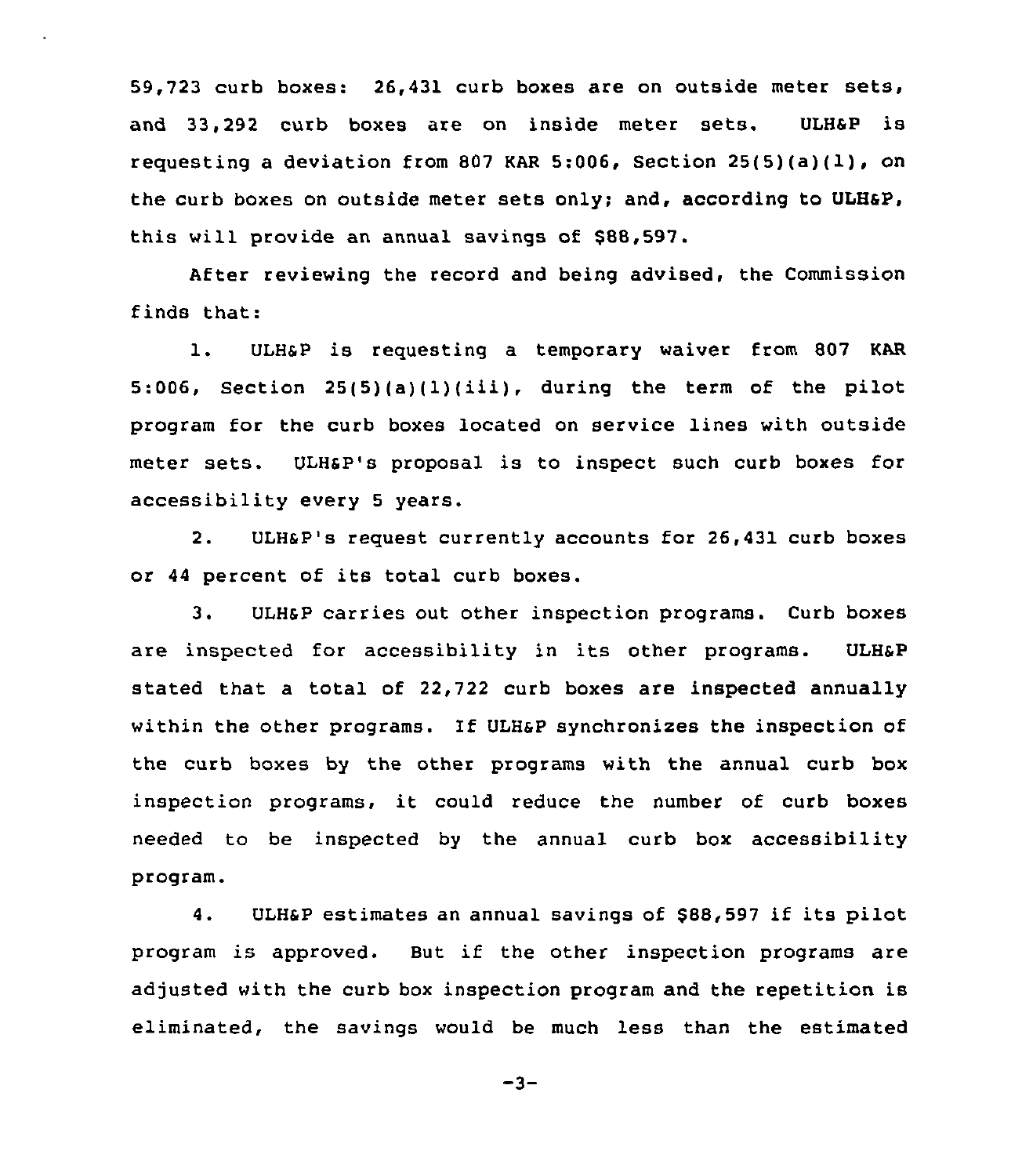59,723 curb boxes: 26,431 curb boxes are on outside meter sets, and 33.292 curb boxes are on inside meter sets. ULH&P is requesting a deviation from 807 KAR 5:006. Section 25(5)(a)(1), on the curb boxes on outside meter sets only; and, according to ULHsP, this will provide an annual savings of \$88,597.

After reviewing the record and being advised, the Commission finds that:

l. ULHSP is requesting <sup>a</sup> temporary waiver from <sup>807</sup> KAR 5:006, Section 25(5)(a)(1)(iii), during the term of the pilot program for the curb boxes located on service lines with outside meter sets. ULHsP's proposal is to inspect such curb boxes for accessibility every <sup>5</sup> years.

2. ULHSP's request currently accounts for 26,431 curb boxes or <sup>44</sup> percent of its total curb boxes.

3. ULHSP carries out other inspection programs. Curb boxes are inspected for accessibility in its other programs. ULH&P stated that a total of 22,722 curb boxes are inspected annually within the other programs. If ULHsP synchronizes the inspection of the curb boxes by the other programs with the annual curb box inspection programs, it could reduce the number of curb boxes needed to be inspected by the annual curb box accessibility program.

4. ULHaP estimates an annual savings of \$88,597 if its pilot program is approved. But if the other inspection programs are adjusted with the curb box inspection program and the repetition is eliminated, the savings would be much less than the estimated

 $-3-$